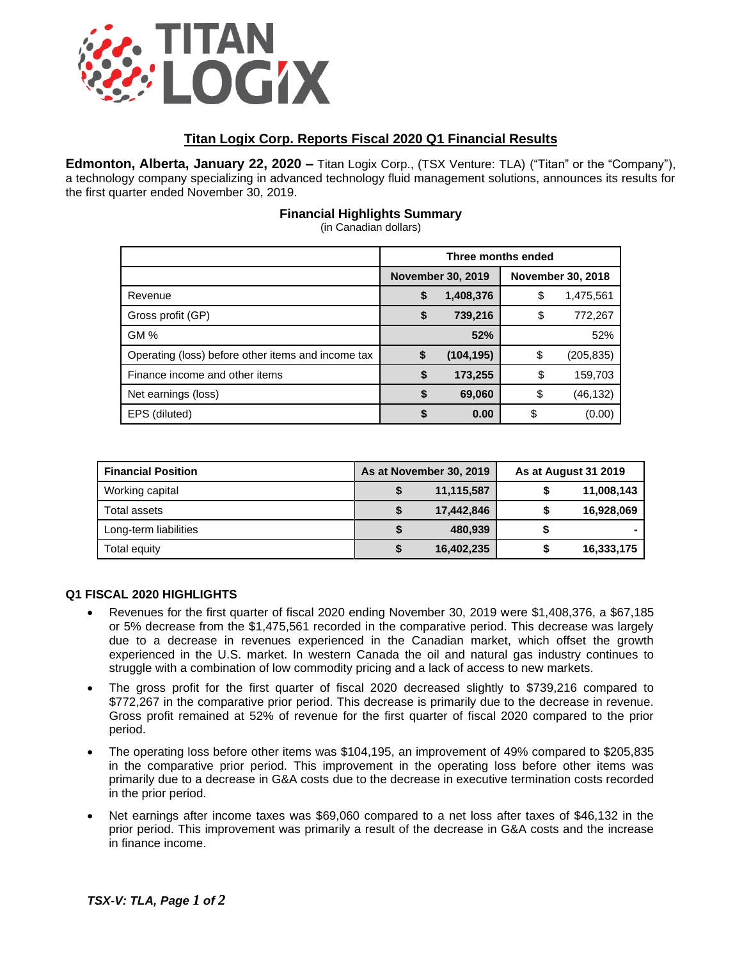

# **Titan Logix Corp. Reports Fiscal 2020 Q1 Financial Results**

**Edmonton, Alberta, January 22, 2020 –** Titan Logix Corp., (TSX Venture: TLA) ("Titan" or the "Company"), a technology company specializing in advanced technology fluid management solutions, announces its results for the first quarter ended November 30, 2019.

|                                                    | Three months ended       |            |                          |            |
|----------------------------------------------------|--------------------------|------------|--------------------------|------------|
|                                                    | <b>November 30, 2019</b> |            | <b>November 30, 2018</b> |            |
| Revenue                                            | \$                       | 1,408,376  | \$                       | 1,475,561  |
| Gross profit (GP)                                  | \$                       | 739,216    | \$                       | 772,267    |
| <b>GM %</b>                                        |                          | 52%        |                          | 52%        |
| Operating (loss) before other items and income tax | \$                       | (104, 195) | \$                       | (205, 835) |
| Finance income and other items                     | S                        | 173,255    | S                        | 159,703    |
| Net earnings (loss)                                | S                        | 69,060     | \$                       | (46,132)   |
| EPS (diluted)                                      |                          | 0.00       | \$                       | (0.00)     |

## **Financial Highlights Summary**

(in Canadian dollars)

| <b>Financial Position</b> | As at November 30, 2019 |            | As at August 31 2019 |            |
|---------------------------|-------------------------|------------|----------------------|------------|
| Working capital           |                         | 11,115,587 |                      | 11,008,143 |
| Total assets              |                         | 17,442,846 |                      | 16,928,069 |
| Long-term liabilities     |                         | 480,939    |                      |            |
| Total equity              |                         | 16,402,235 |                      | 16,333,175 |

### **Q1 FISCAL 2020 HIGHLIGHTS**

- Revenues for the first quarter of fiscal 2020 ending November 30, 2019 were \$1,408,376, a \$67,185 or 5% decrease from the \$1,475,561 recorded in the comparative period. This decrease was largely due to a decrease in revenues experienced in the Canadian market, which offset the growth experienced in the U.S. market. In western Canada the oil and natural gas industry continues to struggle with a combination of low commodity pricing and a lack of access to new markets.
- The gross profit for the first quarter of fiscal 2020 decreased slightly to \$739,216 compared to \$772,267 in the comparative prior period. This decrease is primarily due to the decrease in revenue. Gross profit remained at 52% of revenue for the first quarter of fiscal 2020 compared to the prior period.
- The operating loss before other items was \$104,195, an improvement of 49% compared to \$205,835 in the comparative prior period. This improvement in the operating loss before other items was primarily due to a decrease in G&A costs due to the decrease in executive termination costs recorded in the prior period.
- Net earnings after income taxes was \$69,060 compared to a net loss after taxes of \$46,132 in the prior period. This improvement was primarily a result of the decrease in G&A costs and the increase in finance income.